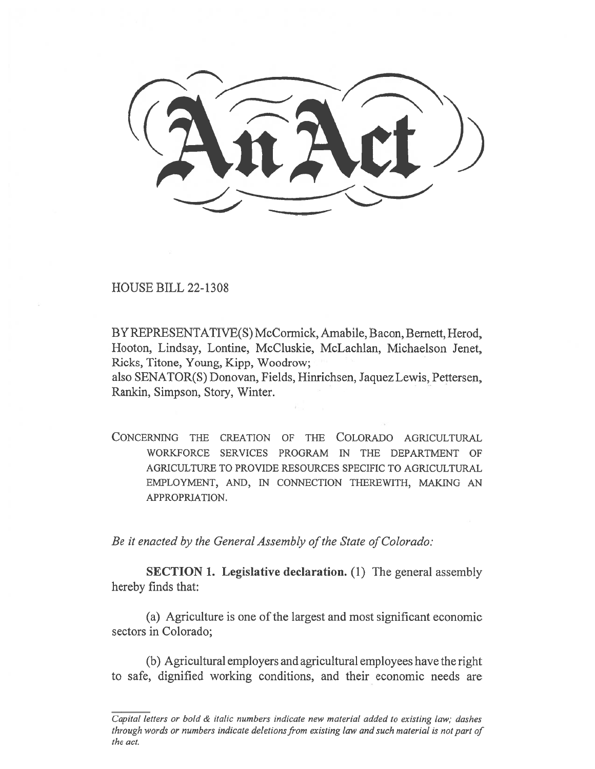HOUSE BILL 22-1308

BY REPRESENTATIVE(S) McCormick, Amabile, Bacon, Bernett, Herod, Hooton, Lindsay, Lontine, McCluskie, McLachlan, Michaelson Jenet, Ricks, Titone, Young, Kipp, Woodrow;

also SENATOR(S) Donovan, Fields, Hinrichsen, Jaquez Lewis, Pettersen, Rankin, Simpson, Story, Winter.

CONCERNING THE CREATION OF THE COLORADO AGRICULTURAL WORKFORCE SERVICES PROGRAM IN THE DEPARTMENT OF AGRICULTURE TO PROVIDE RESOURCES SPECIFIC TO AGRICULTURAL EMPLOYMENT, AND, IN CONNECTION THEREWITH, MAKING AN APPROPRIATION.

Be it enacted by the General Assembly of the State of Colorado:

SECTION 1. Legislative declaration. (1) The general assembly hereby finds that:

(a) Agriculture is one of the largest and most significant economic sectors in Colorado;

(b) Agricultural employers and agricultural employees have the right to safe, dignified working conditions, and their economic needs are

Capital letters or bold  $\&$  italic numbers indicate new material added to existing law; dashes through words or numbers indicate deletions from existing law and such material is not part of the act.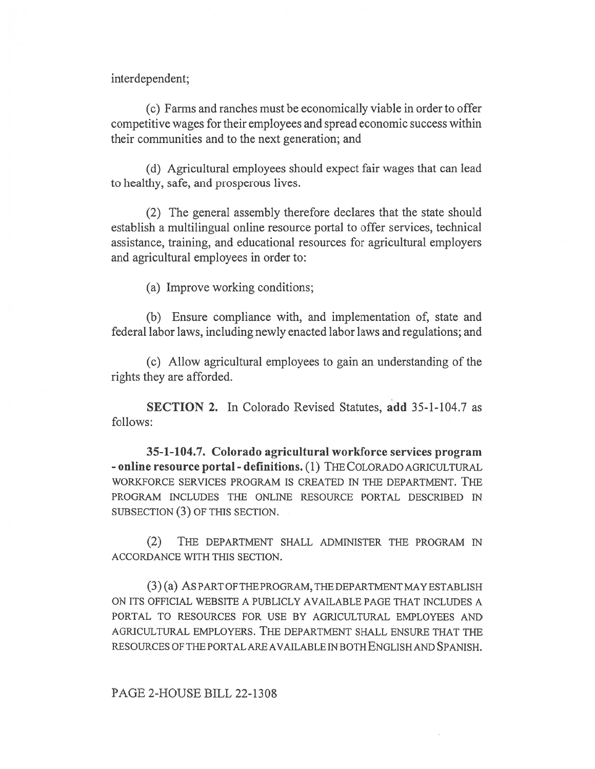interdependent;

(c) Farms and ranches must be economically viable in order to offer competitive wages for their employees and spread economic success within their communities and to the next generation; and

(d) Agricultural employees should expect fair wages that can lead to healthy, safe, and prosperous lives.

(2) The general assembly therefore declares that the state should establish a multilingual online resource portal to offer services, technical assistance, training, and educational resources for agricultural employers and agricultural employees in order to:

(a) Improve working conditions;

(b) Ensure compliance with, and implementation of, state and federal labor laws, including newly enacted labor laws and regulations; and

(c) Allow agricultural employees to gain an understanding of the rights they are afforded.

SECTION 2. In Colorado Revised Statutes, add 35-1-104.7 as follows:

35-1-104.7. Colorado agricultural workforce services program - online resource portal - definitions. (1) THE COLORADO AGRICULTURAL WORKFORCE SERVICES PROGRAM IS CREATED IN THE DEPARTMENT. THE PROGRAM INCLUDES THE ONLINE RESOURCE PORTAL DESCRIBED IN SUBSECTION (3) OF THIS SECTION.

(2) THE DEPARTMENT SHALL ADMINISTER THE PROGRAM IN ACCORDANCE WITH THIS SECTION.

(3) (a) AS PART OF THE PROGRAM, THE DEPARTMENT MAY ESTABLISH ON ITS OFFICIAL WEBSITE A PUBLICLY AVAILABLE PAGE THAT INCLUDES A PORTAL TO RESOURCES FOR USE BY AGRICULTURAL EMPLOYEES AND AGRICULTURAL EMPLOYERS. THE DEPARTMENT SHALL ENSURE THAT THE RESOURCES OF THE PORTAL ARE AVAILABLE IN BOTH ENGLISH AND SPANISH.

PAGE 2-HOUSE BILL 22-1308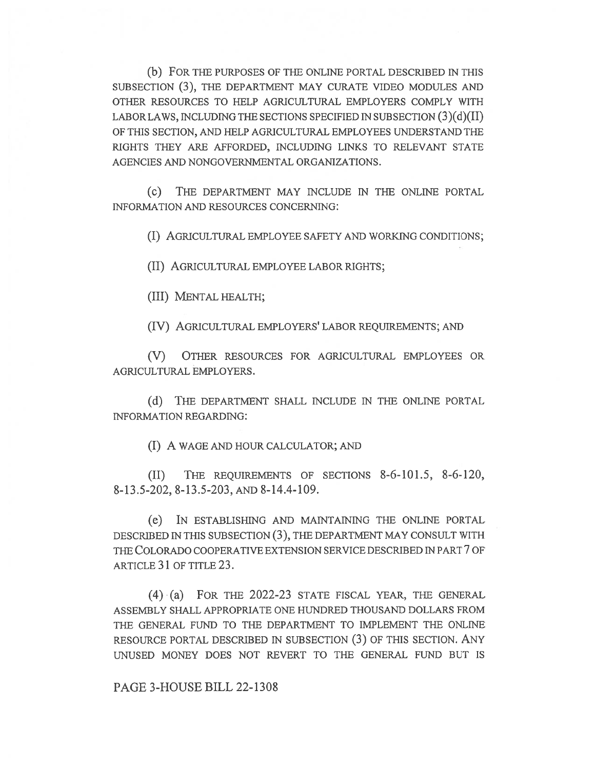(b) FOR THE PURPOSES OF THE ONLINE PORTAL DESCRIBED IN THIS SUBSECTION (3), THE DEPARTMENT MAY CURATE VIDEO MODULES AND OTHER RESOURCES TO HELP AGRICULTURAL EMPLOYERS COMPLY WITH LABOR LAWS, INCLUDING THE SECTIONS SPECIFIED IN SUBSECTION  $(3)(d)(II)$ OF THIS SECTION, AND HELP AGRICULTURAL EMPLOYEES UNDERSTAND THE RIGHTS THEY ARE AFFORDED, INCLUDING LINKS TO RELEVANT STATE AGENCIES AND NONGOVERNMENTAL ORGANIZATIONS.

(c) THE DEPARTMENT MAY INCLUDE IN THE ONLINE PORTAL INFORMATION AND RESOURCES CONCERNING:

(I) AGRICULTURAL EMPLOYEE SAFETY AND WORKING CONDITIONS;

(II) AGRICULTURAL EMPLOYEE LABOR RIGHTS;

(III) MENTAL HEALTH;

(IV) AGRICULTURAL EMPLOYERS' LABOR REQUIREMENTS; AND

(V) OTHER RESOURCES FOR AGRICULTURAL EMPLOYEES OR AGRICULTURAL EMPLOYERS.

(d) THE DEPARTMENT SHALL INCLUDE IN THE ONLINE PORTAL INFORMATION REGARDING:

(I) A WAGE AND HOUR CALCULATOR; AND

(II) THE REQUIREMENTS OF SECTIONS 8-6-101.5, 8-6-120, 8-13.5-202, 8-13.5-203, AND 8-14.4-109.

(e) IN ESTABLISHING AND MAINTAINING THE ONLINE PORTAL DESCRIBED IN THIS SUBSECTION (3), THE DEPARTMENT MAY CONSULT WITH THE COLORADO COOPERATIVE EXTENSION SERVICE DESCRIBED IN PART 7 OF ARTICLE 31 OF TITLE 23.

(4) (a) FOR THE 2022-23 STATE FISCAL YEAR, THE GENERAL ASSEMBLY SHALL APPROPRIATE ONE HUNDRED THOUSAND DOLLARS FROM THE GENERAL FUND TO THE DEPARTMENT TO IMPLEMENT THE ONLINE RESOURCE PORTAL DESCRIBED IN SUBSECTION (3) OF THIS SECTION. ANY UNUSED MONEY DOES NOT REVERT TO THE GENERAL FUND BUT IS

PAGE 3-HOUSE BILL 22-1308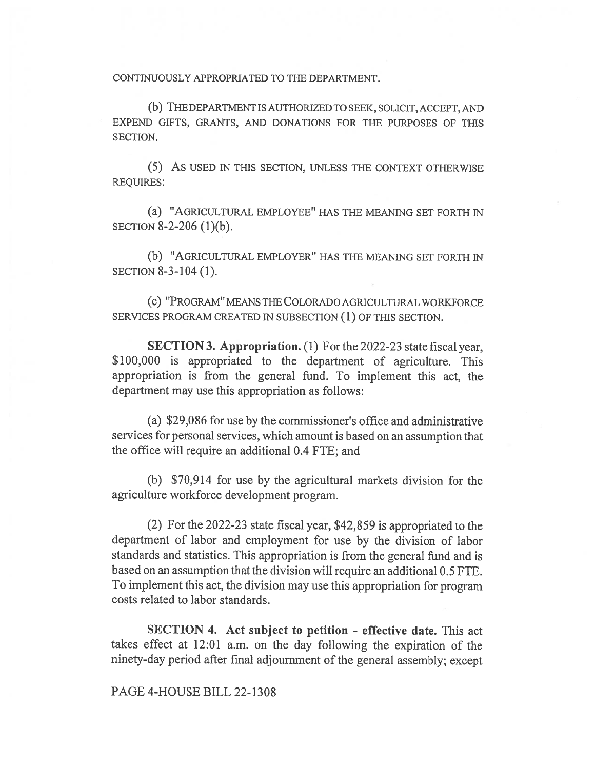CONTINUOUSLY APPROPRIATED TO THE DEPARTMENT.

(b) THE DEPARTMENT IS AUTHORIZED TO SEEK, SOLICIT, ACCEPT, AND EXPEND GIFTS, GRANTS, AND DONATIONS FOR THE PURPOSES OF THIS SECTION.

(5) As USED IN THIS SECTION, UNLESS THE CONTEXT OTHERWISE REQUIRES:

(a) "AGRICULTURAL EMPLOYEE" HAS THE MEANING SET FORTH IN SECTION 8-2-206 (1)(b).

(b) "AGRICULTURAL EMPLOYER" HAS THE MEANING SET FORTH IN SECTION 8-3-104 (1).

(c) "PROGRAM" MEANS THE COLORADO AGRICULTURAL WORKFORCE SERVICES PROGRAM CREATED IN SUBSECTION (1) OF THIS SECTION.

SECTION 3. Appropriation. (1) For the 2022-23 state fiscal year, \$100,000 is appropriated to the department of agriculture. This appropriation is from the general fund. To implement this act, the department may use this appropriation as follows:

(a) \$29,086 for use by the commissioner's office and administrative services for personal services, which amount is based on an assumption that the office will require an additional 0.4 FTE; and

(b) \$70,914 for use by the agricultural markets division for the agriculture workforce development program.

(2) For the 2022-23 state fiscal year, \$42,859 is appropriated to the department of labor and employment for use by the division of labor standards and statistics. This appropriation is from the general fund and is based on an assumption that the division will require an additional 0.5 FTE. To implement this act, the division may use this appropriation for program costs related to labor standards.

SECTION 4. Act subject to petition - effective date. This act takes effect at 12:01 a.m. on the day following the expiration of the ninety-day period after final adjournment of the general assembly; except

## PAGE 4-HOUSE BILL 22-1308